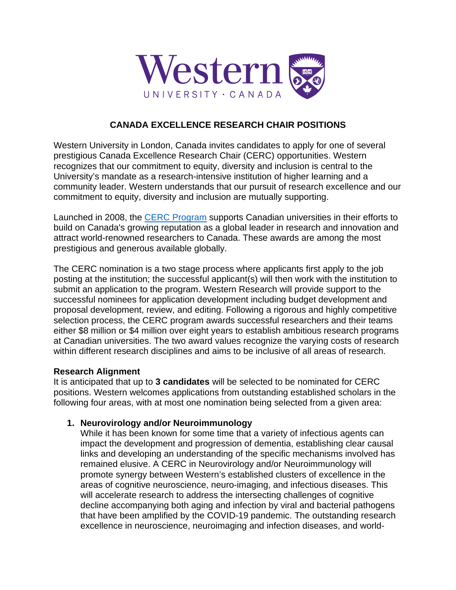

## **CANADA EXCELLENCE RESEARCH CHAIR POSITIONS**

Western University in London, Canada invites candidates to apply for one of several prestigious Canada Excellence Research Chair (CERC) opportunities. Western recognizes that our commitment to equity, diversity and inclusion is central to the University's mandate as a research-intensive institution of higher learning and a community leader. Western understands that our pursuit of research excellence and our commitment to equity, diversity and inclusion are mutually supporting.

Launched in 2008, the [CERC Program](https://www.cerc.gc.ca/program-programme/cpan-pccs-eng.aspx) supports Canadian universities in their efforts to build on Canada's growing reputation as a global leader in research and innovation and attract world-renowned researchers to Canada. These awards are among the most prestigious and generous available globally.

The CERC nomination is a two stage process where applicants first apply to the job posting at the institution; the successful applicant(s) will then work with the institution to submit an application to the program. Western Research will provide support to the successful nominees for application development including budget development and proposal development, review, and editing. Following a rigorous and highly competitive selection process, the CERC program awards successful researchers and their teams either \$8 million or \$4 million over eight years to establish ambitious research programs at Canadian universities. The two award values recognize the varying costs of research within different research disciplines and aims to be inclusive of all areas of research.

### **Research Alignment**

It is anticipated that up to **3 candidates** will be selected to be nominated for CERC positions. Western welcomes applications from outstanding established scholars in the following four areas, with at most one nomination being selected from a given area:

### **1. Neurovirology and/or Neuroimmunology**

While it has been known for some time that a variety of infectious agents can impact the development and progression of dementia, establishing clear causal links and developing an understanding of the specific mechanisms involved has remained elusive. A CERC in Neurovirology and/or Neuroimmunology will promote synergy between Western's established clusters of excellence in the areas of cognitive neuroscience, neuro-imaging, and infectious diseases. This will accelerate research to address the intersecting challenges of cognitive decline accompanying both aging and infection by viral and bacterial pathogens that have been amplified by the COVID-19 pandemic. The outstanding research excellence in neuroscience, neuroimaging and infection diseases, and world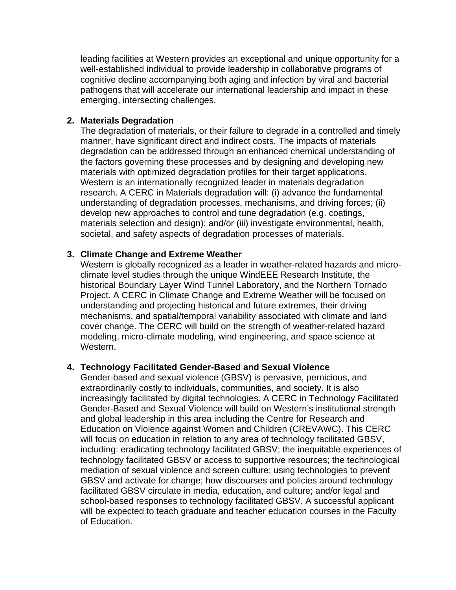leading facilities at Western provides an exceptional and unique opportunity for a well-established individual to provide leadership in collaborative programs of cognitive decline accompanying both aging and infection by viral and bacterial pathogens that will accelerate our international leadership and impact in these emerging, intersecting challenges.

### **2. Materials Degradation**

The degradation of materials, or their failure to degrade in a controlled and timely manner, have significant direct and indirect costs. The impacts of materials degradation can be addressed through an enhanced chemical understanding of the factors governing these processes and by designing and developing new materials with optimized degradation profiles for their target applications. Western is an internationally recognized leader in materials degradation research. A CERC in Materials degradation will: (i) advance the fundamental understanding of degradation processes, mechanisms, and driving forces; (ii) develop new approaches to control and tune degradation (e.g. coatings, materials selection and design); and/or (iii) investigate environmental, health, societal, and safety aspects of degradation processes of materials.

### **3. Climate Change and Extreme Weather**

Western is globally recognized as a leader in weather-related hazards and microclimate level studies through the unique WindEEE Research Institute, the historical Boundary Layer Wind Tunnel Laboratory, and the Northern Tornado Project. A CERC in Climate Change and Extreme Weather will be focused on understanding and projecting historical and future extremes, their driving mechanisms, and spatial/temporal variability associated with climate and land cover change. The CERC will build on the strength of weather-related hazard modeling, micro-climate modeling, wind engineering, and space science at Western.

### **4. Technology Facilitated Gender-Based and Sexual Violence**

Gender-based and sexual violence (GBSV) is pervasive, pernicious, and extraordinarily costly to individuals, communities, and society. It is also increasingly facilitated by digital technologies. A CERC in Technology Facilitated Gender-Based and Sexual Violence will build on Western's institutional strength and global leadership in this area including the Centre for Research and Education on Violence against Women and Children (CREVAWC). This CERC will focus on education in relation to any area of technology facilitated GBSV, including: eradicating technology facilitated GBSV; the inequitable experiences of technology facilitated GBSV or access to supportive resources; the technological mediation of sexual violence and screen culture; using technologies to prevent GBSV and activate for change; how discourses and policies around technology facilitated GBSV circulate in media, education, and culture; and/or legal and school-based responses to technology facilitated GBSV. A successful applicant will be expected to teach graduate and teacher education courses in the Faculty of Education.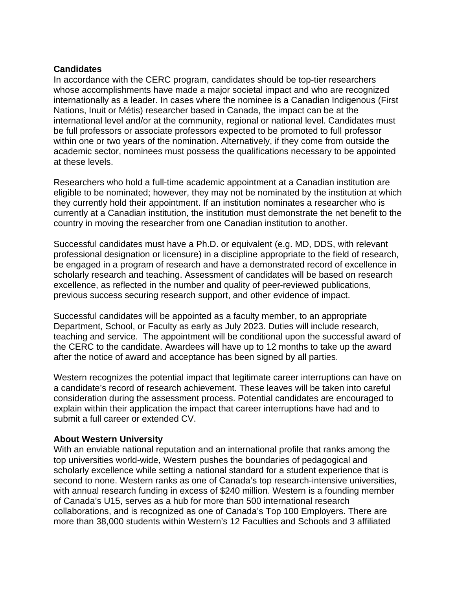#### **Candidates**

In accordance with the CERC program, candidates should be top-tier researchers whose accomplishments have made a major societal impact and who are recognized internationally as a leader. In cases where the nominee is a Canadian Indigenous (First Nations, Inuit or Métis) researcher based in Canada, the impact can be at the international level and/or at the community, regional or national level. Candidates must be full professors or associate professors expected to be promoted to full professor within one or two years of the nomination. Alternatively, if they come from outside the academic sector, nominees must possess the qualifications necessary to be appointed at these levels.

Researchers who hold a full-time academic appointment at a Canadian institution are eligible to be nominated; however, they may not be nominated by the institution at which they currently hold their appointment. If an institution nominates a researcher who is currently at a Canadian institution, the institution must demonstrate the net benefit to the country in moving the researcher from one Canadian institution to another.

Successful candidates must have a Ph.D. or equivalent (e.g. MD, DDS, with relevant professional designation or licensure) in a discipline appropriate to the field of research, be engaged in a program of research and have a demonstrated record of excellence in scholarly research and teaching. Assessment of candidates will be based on research excellence, as reflected in the number and quality of peer-reviewed publications, previous success securing research support, and other evidence of impact.

Successful candidates will be appointed as a faculty member, to an appropriate Department, School, or Faculty as early as July 2023. Duties will include research, teaching and service. The appointment will be conditional upon the successful award of the CERC to the candidate. Awardees will have up to 12 months to take up the award after the notice of award and acceptance has been signed by all parties.

Western recognizes the potential impact that legitimate career interruptions can have on a candidate's record of research achievement. These leaves will be taken into careful consideration during the assessment process. Potential candidates are encouraged to explain within their application the impact that career interruptions have had and to submit a full career or extended CV.

### **About Western University**

With an enviable national reputation and an international profile that ranks among the top universities world-wide, Western pushes the boundaries of pedagogical and scholarly excellence while setting a national standard for a student experience that is second to none. Western ranks as one of Canada's top research-intensive universities, with annual research funding in excess of \$240 million. Western is a founding member of Canada's U15, serves as a hub for more than 500 international research collaborations, and is recognized as one of Canada's Top 100 Employers. There are more than 38,000 students within Western's 12 Faculties and Schools and 3 affiliated